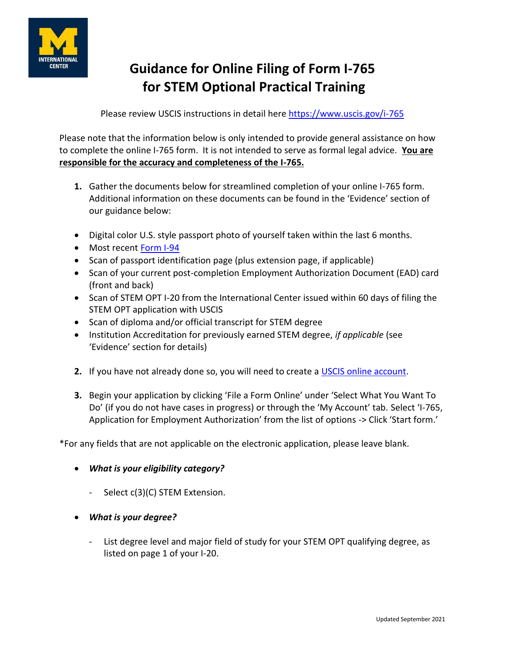

# **Guidance for Online Filing of Form I-765 for STEM Optional Practical Training**

Please review USCIS instructions in detail here<https://www.uscis.gov/i-765>

Please note that the information below is only intended to provide general assistance on how to complete the online I-765 form. It is not intended to serve as formal legal advice. **You are responsible for the accuracy and completeness of the I-765.**

- **1.** Gather the documents below for streamlined completion of your online I-765 form. Additional information on these documents can be found in the 'Evidence' section of our guidance below:
- Digital color U.S. style passport photo of yourself taken within the last 6 months.
- Most recent [Form I-94](https://internationalcenter.umich.edu/i-94)
- Scan of passport identification page (plus extension page, if applicable)
- Scan of your current post-completion Employment Authorization Document (EAD) card (front and back)
- Scan of STEM OPT I-20 from the International Center issued within 60 days of filing the STEM OPT application with USCIS
- Scan of diploma and/or official transcript for STEM degree
- Institution Accreditation for previously earned STEM degree, *if applicable* (see 'Evidence' section for details)
- **2.** If you have not already done so, you will need to create a [USCIS online account.](https://myaccount.uscis.gov/users/sign_up)
- **3.** Begin your application by clicking 'File a Form Online' under 'Select What You Want To Do' (if you do not have cases in progress) or through the 'My Account' tab. Select 'I-765, Application for Employment Authorization' from the list of options -> Click 'Start form.'

\*For any fields that are not applicable on the electronic application, please leave blank.

- *What is your eligibility category?*
	- Select c(3)(C) STEM Extension.
- *What is your degree?*
	- List degree level and major field of study for your STEM OPT qualifying degree, as listed on page 1 of your I-20.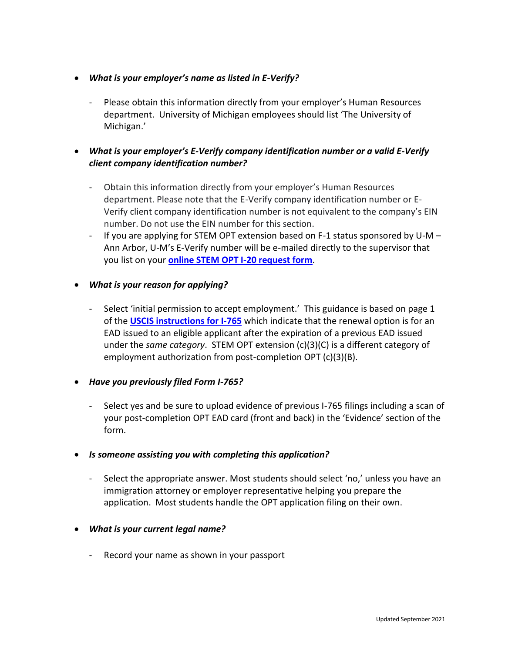- *What is your employer's name as listed in E-Verify?*
	- Please obtain this information directly from your employer's Human Resources department. University of Michigan employees should list 'The University of Michigan.'

# *What is your employer's E-Verify company identification number or a valid E-Verify client company identification number?*

- Obtain this information directly from your employer's Human Resources department. Please note that the E-Verify company identification number or E-Verify client company identification number is not equivalent to the company's EIN number. Do not use the EIN number for this section.
- If you are applying for STEM OPT extension based on F-1 status sponsored by U-M Ann Arbor, U-M's E-Verify number will be e-mailed directly to the supervisor that you list on your **[online STEM OPT I-20 request form](https://internationalcenter.umich.edu/resources/forms/opt-stem-extension-i20-request)**.

# *What is your reason for applying?*

- Select 'initial permission to accept employment.' This guidance is based on page 1 of the **[USCIS instructions for I-765](https://www.uscis.gov/sites/default/files/document/forms/i-765instr.pdf)** which indicate that the renewal option is for an EAD issued to an eligible applicant after the expiration of a previous EAD issued under the *same category*. STEM OPT extension (c)(3)(C) is a different category of employment authorization from post-completion OPT (c)(3)(B).

## *Have you previously filed Form I-765?*

- Select yes and be sure to upload evidence of previous I-765 filings including a scan of your post-completion OPT EAD card (front and back) in the 'Evidence' section of the form.

## *Is someone assisting you with completing this application?*

Select the appropriate answer. Most students should select 'no,' unless you have an immigration attorney or employer representative helping you prepare the application. Most students handle the OPT application filing on their own.

## *What is your current legal name?*

- Record your name as shown in your passport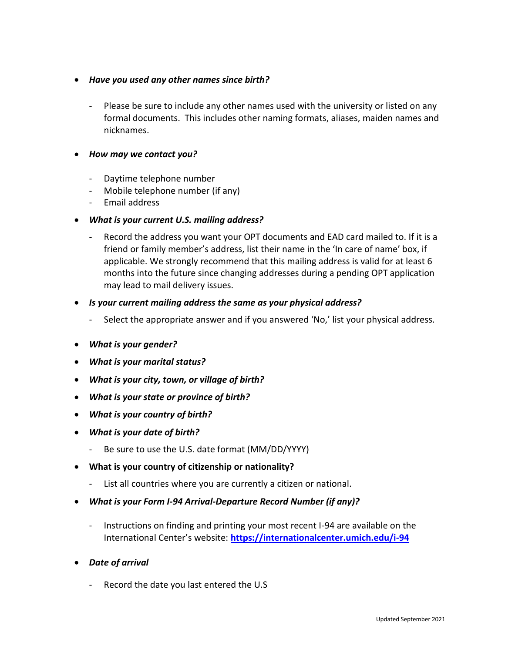- *Have you used any other names since birth?*
	- Please be sure to include any other names used with the university or listed on any formal documents. This includes other naming formats, aliases, maiden names and nicknames.
- *How may we contact you?*
	- Daytime telephone number
	- Mobile telephone number (if any)
	- Email address
- *What is your current U.S. mailing address?*
	- Record the address you want your OPT documents and EAD card mailed to. If it is a friend or family member's address, list their name in the 'In care of name' box, if applicable. We strongly recommend that this mailing address is valid for at least 6 months into the future since changing addresses during a pending OPT application may lead to mail delivery issues.
- *Is your current mailing address the same as your physical address?* 
	- Select the appropriate answer and if you answered 'No,' list your physical address.
- *What is your gender?*
- *What is your marital status?*
- *What is your city, town, or village of birth?*
- *What is your state or province of birth?*
- *What is your country of birth?*
- *What is your date of birth?*
	- Be sure to use the U.S. date format (MM/DD/YYYY)
- **What is your country of citizenship or nationality?**
	- List all countries where you are currently a citizen or national.
- *What is your Form I-94 Arrival-Departure Record Number (if any)?*
	- Instructions on finding and printing your most recent I-94 are available on the International Center's website: **<https://internationalcenter.umich.edu/i-94>**
- *Date of arrival* 
	- Record the date you last entered the U.S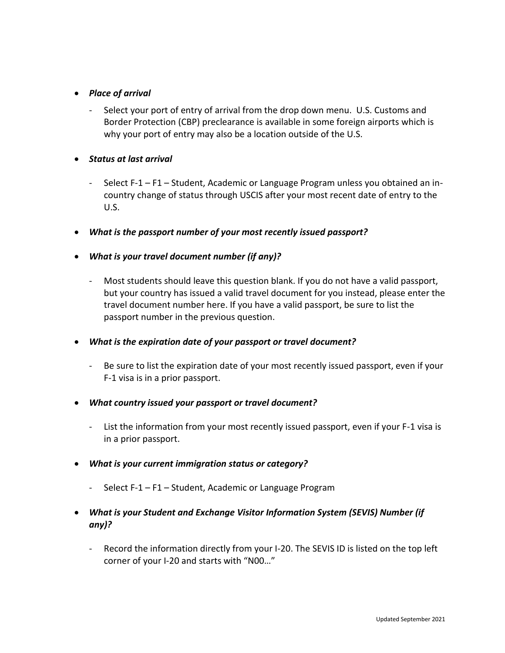# *Place of arrival*

- Select your port of entry of arrival from the drop down menu. U.S. Customs and Border Protection (CBP) preclearance is available in some foreign airports which is why your port of entry may also be a location outside of the U.S.
- *Status at last arrival*
	- Select F-1 F1 Student, Academic or Language Program unless you obtained an incountry change of status through USCIS after your most recent date of entry to the  $ULS.$
- *What is the passport number of your most recently issued passport?*
- *What is your travel document number (if any)?*
	- Most students should leave this question blank. If you do not have a valid passport, but your country has issued a valid travel document for you instead, please enter the travel document number here. If you have a valid passport, be sure to list the passport number in the previous question.
- *What is the expiration date of your passport or travel document?*
	- Be sure to list the expiration date of your most recently issued passport, even if your F-1 visa is in a prior passport.
- *What country issued your passport or travel document?*
	- List the information from your most recently issued passport, even if your F-1 visa is in a prior passport.
- *What is your current immigration status or category?*
	- Select F-1 F1 Student, Academic or Language Program
- *What is your Student and Exchange Visitor Information System (SEVIS) Number (if any)?*
	- Record the information directly from your I-20. The SEVIS ID is listed on the top left corner of your I-20 and starts with "N00…"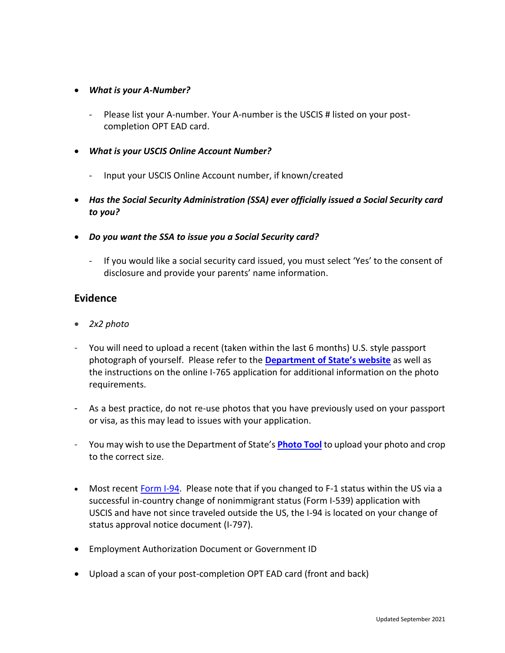## *What is your A-Number?*

- Please list your A-number. Your A-number is the USCIS # listed on your postcompletion OPT EAD card.
- *What is your USCIS Online Account Number?*
	- Input your USCIS Online Account number, if known/created
- *Has the Social Security Administration (SSA) ever officially issued a Social Security card to you?*
- *Do you want the SSA to issue you a Social Security card?*
	- If you would like a social security card issued, you must select 'Yes' to the consent of disclosure and provide your parents' name information.

# **Evidence**

- *2x2 photo*
- You will need to upload a recent (taken within the last 6 months) U.S. style passport photograph of yourself. Please refer to the **[Department of State's website](https://travel.state.gov/content/travel/en/us-visas/visa-information-resources/photos.html)** as well as the instructions on the online I-765 application for additional information on the photo requirements.
- As a best practice, do not re-use photos that you have previously used on your passport or visa, as this may lead to issues with your application.
- You may wish to use the Department of State's **[Photo Tool](https://tsg.phototool.state.gov/photo)** to upload your photo and crop to the correct size.
- Most recent [Form I-94.](https://internationalcenter.umich.edu/i-94) Please note that if you changed to F-1 status within the US via a successful in-country change of nonimmigrant status (Form I-539) application with USCIS and have not since traveled outside the US, the I-94 is located on your change of status approval notice document (I-797).
- Employment Authorization Document or Government ID
- Upload a scan of your post-completion OPT EAD card (front and back)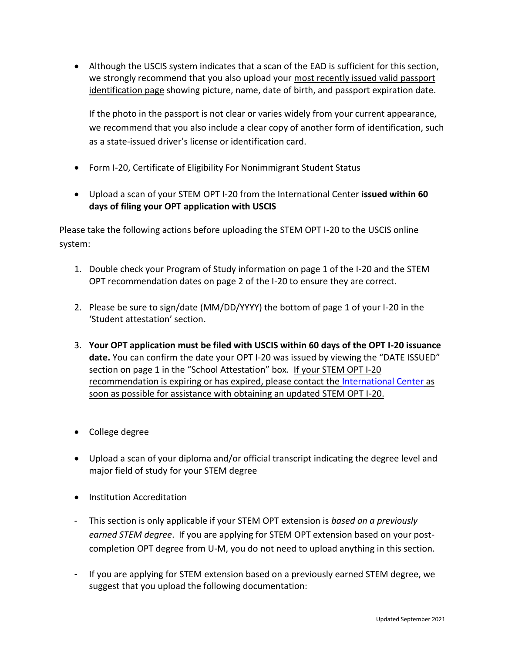Although the USCIS system indicates that a scan of the EAD is sufficient for this section, we strongly recommend that you also upload your most recently issued valid passport identification page showing picture, name, date of birth, and passport expiration date.

If the photo in the passport is not clear or varies widely from your current appearance, we recommend that you also include a clear copy of another form of identification, such as a state-issued driver's license or identification card.

- Form I-20, Certificate of Eligibility For Nonimmigrant Student Status
- Upload a scan of your STEM OPT I-20 from the International Center **issued within 60 days of filing your OPT application with USCIS**

Please take the following actions before uploading the STEM OPT I-20 to the USCIS online system:

- 1. Double check your Program of Study information on page 1 of the I-20 and the STEM OPT recommendation dates on page 2 of the I-20 to ensure they are correct.
- 2. Please be sure to sign/date (MM/DD/YYYY) the bottom of page 1 of your I-20 in the 'Student attestation' section.
- 3. **Your OPT application must be filed with USCIS within 60 days of the OPT I-20 issuance date.** You can confirm the date your OPT I-20 was issued by viewing the "DATE ISSUED" section on page 1 in the "School Attestation" box. If your STEM OPT I-20 recommendation is expiring or has expired, please contact the [International Center](https://internationalcenter.umich.edu/advising-hours) as soon as possible for assistance with obtaining an updated STEM OPT I-20.
- College degree
- Upload a scan of your diploma and/or official transcript indicating the degree level and major field of study for your STEM degree
- **•** Institution Accreditation
- This section is only applicable if your STEM OPT extension is *based on a previously earned STEM degree*. If you are applying for STEM OPT extension based on your postcompletion OPT degree from U-M, you do not need to upload anything in this section.
- If you are applying for STEM extension based on a previously earned STEM degree, we suggest that you upload the following documentation: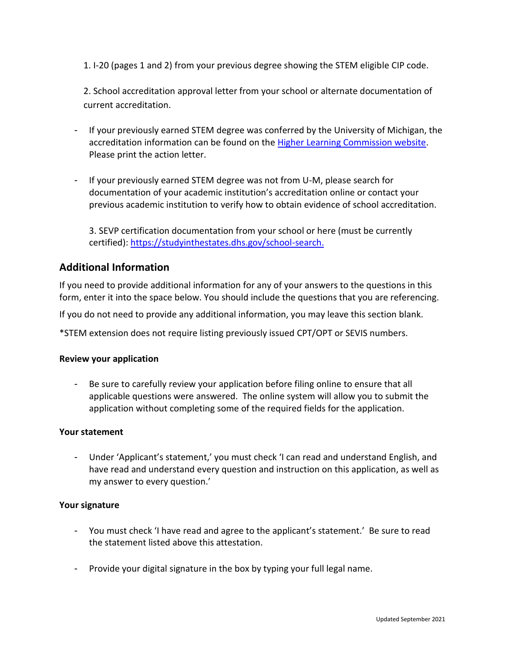1. I-20 (pages 1 and 2) from your previous degree showing the STEM eligible CIP code.

2. School accreditation approval letter from your school or alternate documentation of current accreditation.

- If your previously earned STEM degree was conferred by the University of Michigan, the accreditation information can be found on the [Higher Learning Commission website.](https://www.hlcommission.org/Directory-of-HLC-Institutions.html) Please print the action letter.
- If your previously earned STEM degree was not from U-M, please search for documentation of your academic institution's accreditation online or contact your previous academic institution to verify how to obtain evidence of school accreditation.

3. SEVP certification documentation from your school or here (must be currently certified): [https://studyinthestates.dhs.gov/school-search.](https://studyinthestates.dhs.gov/school-search)

# **Additional Information**

If you need to provide additional information for any of your answers to the questions in this form, enter it into the space below. You should include the questions that you are referencing.

If you do not need to provide any additional information, you may leave this section blank.

\*STEM extension does not require listing previously issued CPT/OPT or SEVIS numbers.

#### **Review your application**

- Be sure to carefully review your application before filing online to ensure that all applicable questions were answered. The online system will allow you to submit the application without completing some of the required fields for the application.

#### **Your statement**

- Under 'Applicant's statement,' you must check 'I can read and understand English, and have read and understand every question and instruction on this application, as well as my answer to every question.'

#### **Your signature**

- You must check 'I have read and agree to the applicant's statement.' Be sure to read the statement listed above this attestation.
- Provide your digital signature in the box by typing your full legal name.